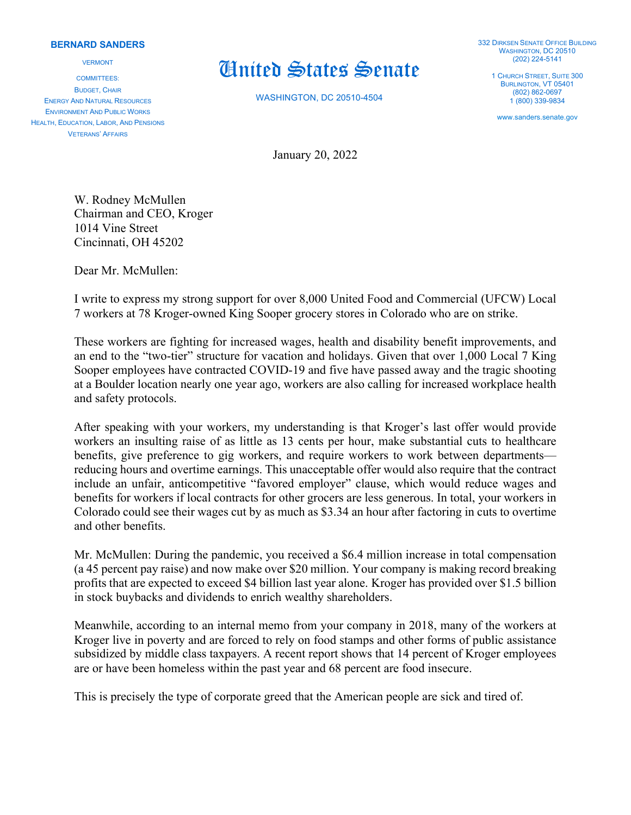## **BERNARD SANDERS**

VERMONT

COMMITTEES: BUDGET, CHAIR ENERGY AND NATURAL RESOURCES ENVIRONMENT AND PUBLIC WORKS HEALTH, EDUCATION, LABOR, AND PENSIONS VETERANS' AFFAIRS

## United States Senate

WASHINGTON, DC 20510-4504

332 DIRKSEN SENATE OFFICE BUILDING WASHINGTON, DC 20510 (202) 224-5141

1 CHURCH STREET, SUITE 300 BURLINGTON, VT 05401 (802) 862-0697 1 (800) 339-9834

www.sanders.senate.gov

January 20, 2022

W. Rodney McMullen Chairman and CEO, Kroger 1014 Vine Street Cincinnati, OH 45202

Dear Mr. McMullen:

I write to express my strong support for over 8,000 United Food and Commercial (UFCW) Local 7 workers at 78 Kroger-owned King Sooper grocery stores in Colorado who are on strike.

These workers are fighting for increased wages, health and disability benefit improvements, and an end to the "two-tier" structure for vacation and holidays. Given that over 1,000 Local 7 King Sooper employees have contracted COVID-19 and five have passed away and the tragic shooting at a Boulder location nearly one year ago, workers are also calling for increased workplace health and safety protocols.

After speaking with your workers, my understanding is that Kroger's last offer would provide workers an insulting raise of as little as 13 cents per hour, make substantial cuts to healthcare benefits, give preference to gig workers, and require workers to work between departments reducing hours and overtime earnings. This unacceptable offer would also require that the contract include an unfair, anticompetitive "favored employer" clause, which would reduce wages and benefits for workers if local contracts for other grocers are less generous. In total, your workers in Colorado could see their wages cut by as much as \$3.34 an hour after factoring in cuts to overtime and other benefits.

Mr. McMullen: During the pandemic, you received a \$6.4 million increase in total compensation (a 45 percent pay raise) and now make over \$20 million. Your company is making record breaking profits that are expected to exceed \$4 billion last year alone. Kroger has provided over \$1.5 billion in stock buybacks and dividends to enrich wealthy shareholders.

Meanwhile, according to an internal memo from your company in 2018, many of the workers at Kroger live in poverty and are forced to rely on food stamps and other forms of public assistance subsidized by middle class taxpayers. A recent report shows that 14 percent of Kroger employees are or have been homeless within the past year and 68 percent are food insecure.

This is precisely the type of corporate greed that the American people are sick and tired of.